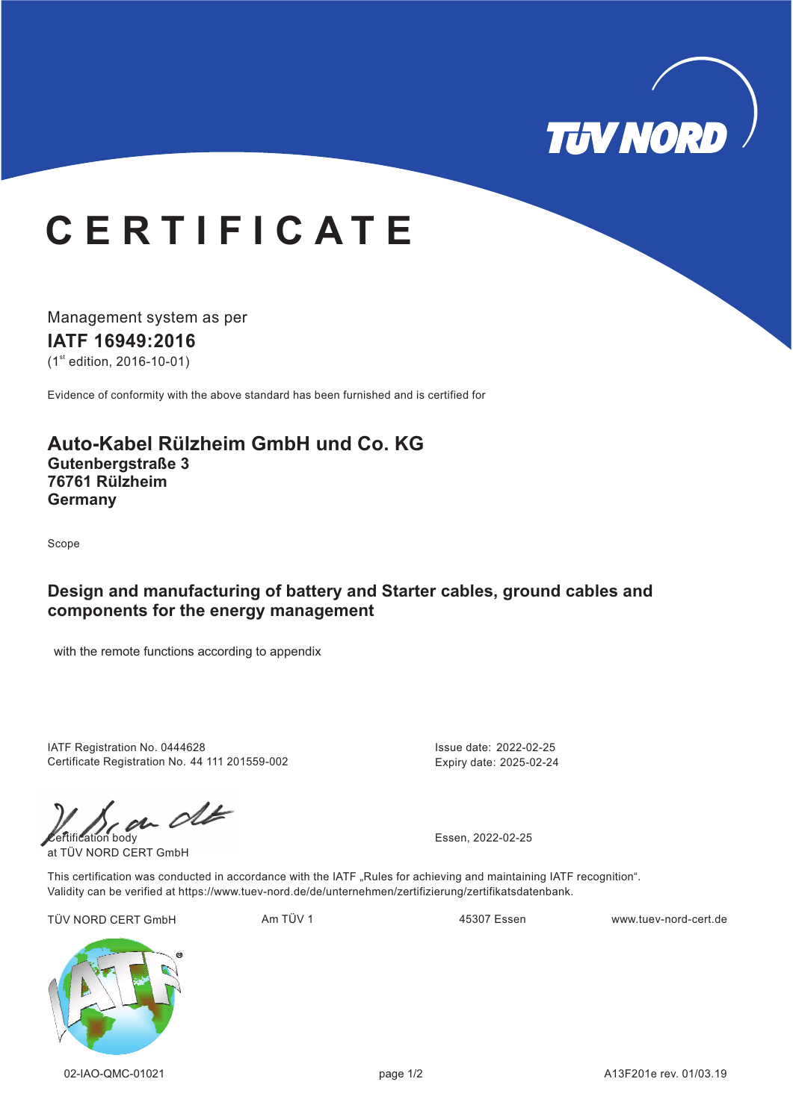

# **C E R T I F I C A T E**

Management system as per **IATF 16949: 16 20**  $(1<sup>st</sup>$  edition, 2016-10-01)

Evidence of conformity with the above standard has been furnished and is certified for

## **Auto-Kabel Rülzheim GmbH und Co. KG Gutenbergstraße 3 Germany 76761 Rülzheim**

Scope

### **Design and manufacturing of battery and Starter cables, ground cables and components for the energy management**

with the remote functions according to appendix

IATF Registration No. 0444628 Certificate Registration No. 44 111 201559-002 Issue date: 2022-02-25 Expiry date: 2025-02-24

 $\mathcal{C}$ 

at TÜV NORD CERT GmbH

This certification was conducted in accordance with the IATF "Rules for achieving and maintaining IATF recognition". Validity can be verified at https://www.tuev-nord.de/de/unternehmen/zertifizierung/zertifikatsdatenbank.

TÜV NORD CERT GmbH Am TÜV 1 WWW.tuev-nord-cert.de 45307 Essen www.tuev-nord-cert.de